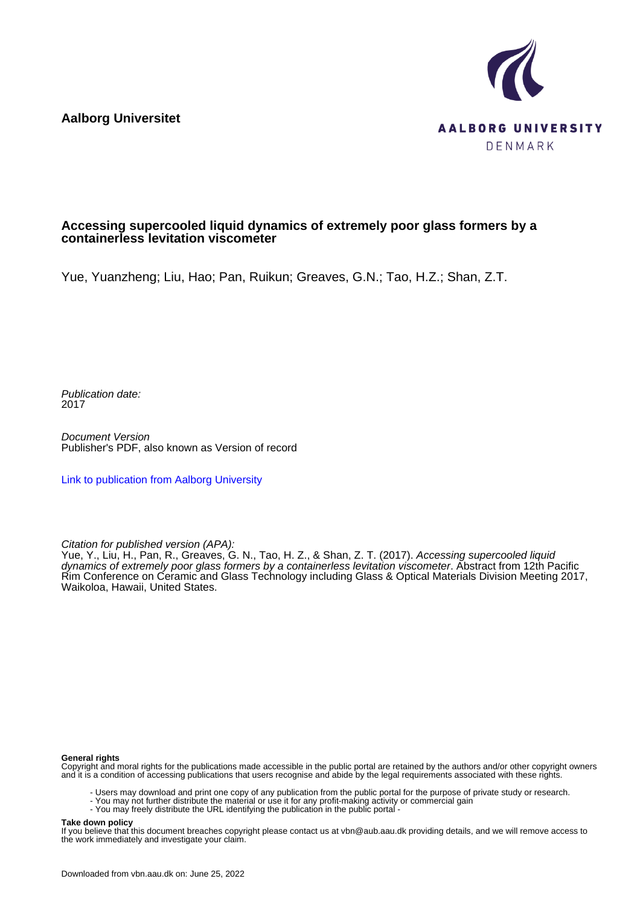**Aalborg Universitet**



## **Accessing supercooled liquid dynamics of extremely poor glass formers by a containerless levitation viscometer**

Yue, Yuanzheng; Liu, Hao; Pan, Ruikun; Greaves, G.N.; Tao, H.Z.; Shan, Z.T.

Publication date: 2017

Document Version Publisher's PDF, also known as Version of record

[Link to publication from Aalborg University](https://vbn.aau.dk/en/publications/358a6952-a46a-4164-ba4b-564486c8cbf0)

Citation for published version (APA):

Yue, Y., Liu, H., Pan, R., Greaves, G. N., Tao, H. Z., & Shan, Z. T. (2017). *Accessing supercooled liqui*d dynamics of extremely poor glass formers by a containerless levitation viscometer. Abstract from 12th Pacific Rim Conference on Ceramic and Glass Technology including Glass & Optical Materials Division Meeting 2017, Waikoloa, Hawaii, United States.

### **General rights**

Copyright and moral rights for the publications made accessible in the public portal are retained by the authors and/or other copyright owners and it is a condition of accessing publications that users recognise and abide by the legal requirements associated with these rights.

- Users may download and print one copy of any publication from the public portal for the purpose of private study or research.
- You may not further distribute the material or use it for any profit-making activity or commercial gain
- You may freely distribute the URL identifying the publication in the public portal -

#### **Take down policy**

If you believe that this document breaches copyright please contact us at vbn@aub.aau.dk providing details, and we will remove access to the work immediately and investigate your claim.